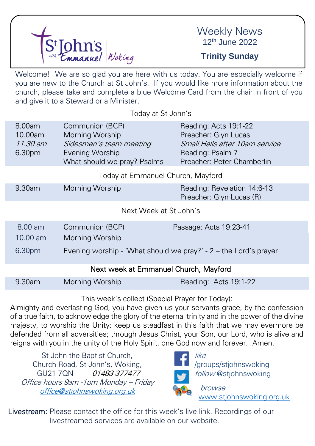

## Weekly News 12th June 2022

## **Trinity Sunday**

Welcome! We are so glad you are here with us today. You are especially welcome if you are new to the Church at St John's. If you would like more information about the church, please take and complete a blue Welcome Card from the chair in front of you and give it to a Steward or a Minister.

Today at St John's

| 8.00am<br>10.00am<br>11.30 am<br>6.30 <sub>pm</sub> | Communion (BCP)<br>Morning Worship<br>Sidesmen's team meeting<br>Evening Worship<br>What should we pray? Psalms | Reading: Acts 19:1-22<br>Preacher: Glyn Lucas<br>Small Halls after 10am service<br>Reading: Psalm 7<br>Preacher: Peter Chamberlin |  |  |
|-----------------------------------------------------|-----------------------------------------------------------------------------------------------------------------|-----------------------------------------------------------------------------------------------------------------------------------|--|--|
|                                                     | Today at Emmanuel Church, Mayford                                                                               |                                                                                                                                   |  |  |
| $9.30$ am                                           | Morning Worship                                                                                                 | Reading: Revelation 14:6-13<br>Preacher: Glyn Lucas (R)                                                                           |  |  |

Next Week at St John's

| 8.00 am  | Communion (BCP) | Passage: Acts 19:23-41                                            |
|----------|-----------------|-------------------------------------------------------------------|
| 10.00 am | Morning Worship |                                                                   |
| 6.30pm   |                 | Evening worship - 'What should we pray?' $-2$ – the Lord's prayer |

#### Next week at Emmanuel Church, Mayford

| 9.30am<br>Morning Worship | Reading: Acts 19:1-22 |
|---------------------------|-----------------------|
|---------------------------|-----------------------|

This week's collect (Special Prayer for Today):

Almighty and everlasting God, you have given us your servants grace, by the confession of a true faith, to acknowledge the glory of the eternal trinity and in the power of the divine majesty, to worship the Unity: keep us steadfast in this faith that we may evermore be defended from all adversities; through Jesus Christ, your Son, our Lord, who is alive and reigns with you in the unity of the Holy Spirit, one God now and forever. Amen.

St John the Baptist Church, Church Road, St John's, Woking, GU21 70N 01483 377477 Office hours 9am -1pm Monday – Friday [office@stjohnswoking.org.uk](mailto:office@stjohnswoking.org.uk)



follow @stjohnswoking

[www.stjohnswoking.org.uk](http://www.stjohnswoking.org.uk/)

Livestream: Please contact the office for this week's live link. Recordings of our livestreamed services are available on our website.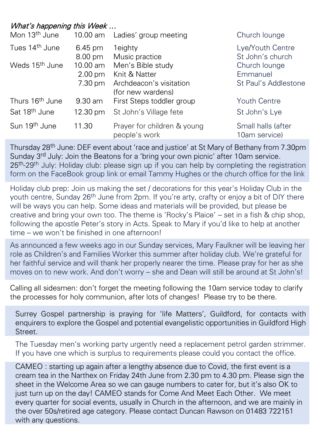### What's happening this Week …

| Mon 13 <sup>th</sup> June   | 10.00 am                      | Ladies' group meeting                        | Church lounge                       |
|-----------------------------|-------------------------------|----------------------------------------------|-------------------------------------|
| Tues 14 <sup>th</sup> June  | $6.45 \text{ pm}$             | 1eighty                                      | Lye/Youth Centre                    |
| Weds 15 <sup>th</sup> June  | $8.00 \text{ pm}$<br>10.00 am | Music practice<br>Men's Bible study          | St John's church<br>Church lounge   |
|                             | $2.00 \text{ pm}$             | Knit & Natter                                | Emmanuel                            |
|                             | 7.30 pm                       | Archdeacon's visitation<br>(for new wardens) | St Paul's Addlestone                |
| Thurs 16 <sup>th</sup> June | $9.30$ am                     | First Steps toddler group                    | <b>Youth Centre</b>                 |
| Sat 18 <sup>th</sup> June   | 12.30 pm                      | St John's Village fete                       | St John's Lye                       |
| Sun 19 <sup>th</sup> June   | 11.30                         | Prayer for children & young<br>people's work | Small halls (after<br>10am service) |

Thursday 28th June: DEF event about 'race and justice' at St Mary of Bethany from 7.30pm Sunday 3<sup>rd</sup> July: Join the Beatons for a 'bring your own picnic' after 10am service. 25<sup>th</sup>-29<sup>th</sup> July: Holiday club: please sign up if you can help by completing the registration form on the FaceBook group link or email Tammy Hughes or the church office for the link

Holiday club prep: Join us making the set / decorations for this year's Holiday Club in the youth centre, Sunday 26<sup>th</sup> June from 2pm. If you're arty, crafty or enjoy a bit of DIY there will be ways you can help. Some ideas and materials will be provided, but please be creative and bring your own too. The theme is 'Rocky's Plaice' – set in a fish & chip shop, following the apostle Peter's story in Acts. Speak to Mary if you'd like to help at another time – we won't be finished in one afternoon!

As announced a few weeks ago in our Sunday services, Mary Faulkner will be leaving her role as Children's and Families Worker this summer after holiday club. We're grateful for her faithful service and will thank her properly nearer the time. Please pray for her as she moves on to new work. And don't worry – she and Dean will still be around at St John's!

Calling all sidesmen: don't forget the meeting following the 10am service today to clarify the processes for holy communion, after lots of changes! Please try to be there.

Surrey Gospel partnership is praying for 'life Matters', Guildford, for contacts with enquirers to explore the Gospel and potential evangelistic opportunities in Guildford High Street.

The Tuesday men's working party urgently need a replacement petrol garden strimmer. If you have one which is surplus to requirements please could you contact the office.

CAMEO : starting up again after a lengthy absence due to Covid, the first event is a cream tea in the Narthex on Friday 24th June from 2.30 pm to 4.30 pm. Please sign the sheet in the Welcome Area so we can gauge numbers to cater for, but it's also OK to just turn up on the day! CAMEO stands for Come And Meet Each Other. We meet every quarter for social events, usually in Church in the afternoon, and we are mainly in the over 50s/retired age category. Please contact Duncan Rawson on 01483 722151 with any questions.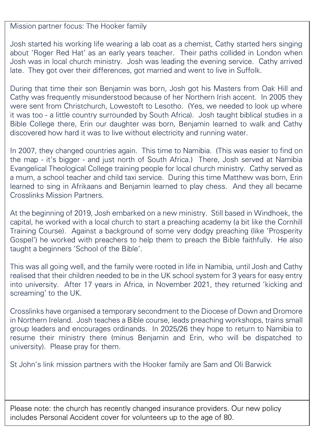Mission partner focus: The Hooker family

Josh started his working life wearing a lab coat as a chemist, Cathy started hers singing about 'Roger Red Hat' as an early years teacher. Their paths collided in London when Josh was in local church ministry. Josh was leading the evening service. Cathy arrived late. They got over their differences, got married and went to live in Suffolk.

During that time their son Benjamin was born, Josh got his Masters from Oak Hill and Cathy was frequently misunderstood because of her Northern Irish accent. In 2005 they were sent from Christchurch, Lowestoft to Lesotho. (Yes, we needed to look up where it was too - a little country surrounded by South Africa). Josh taught biblical studies in a Bible College there, Erin our daughter was born, Benjamin learned to walk and Cathy discovered how hard it was to live without electricity and running water.

In 2007, they changed countries again. This time to Namibia. (This was easier to find on the map - it's bigger - and just north of South Africa.) There, Josh served at Namibia Evangelical Theological College training people for local church ministry. Cathy served as a mum, a school teacher and child taxi service. During this time Matthew was born, Erin learned to sing in Afrikaans and Benjamin learned to play chess. And they all became Crosslinks Mission Partners.

At the beginning of 2019, Josh embarked on a new ministry. Still based in Windhoek, the capital, he worked with a local church to start a preaching academy (a bit like the Cornhill Training Course). Against a background of some very dodgy preaching (like 'Prosperity Gospel') he worked with preachers to help them to preach the Bible faithfully. He also taught a beginners 'School of the Bible'.

This was all going well, and the family were rooted in life in Namibia, until Josh and Cathy realised that their children needed to be in the UK school system for 3 years for easy entry into university. After 17 years in Africa, in November 2021, they returned 'kicking and screaming' to the UK.

Crosslinks have organised a temporary secondment to the Diocese of Down and Dromore in Northern Ireland. Josh teaches a Bible course, leads preaching workshops, trains small group leaders and encourages ordinands. In 2025/26 they hope to return to Namibia to resume their ministry there (minus Benjamin and Erin, who will be dispatched to university). Please pray for them.

St John's link mission partners with the Hooker family are Sam and Oli Barwick

Please note: the church has recently changed insurance providers. Our new policy includes Personal Accident cover for volunteers up to the age of 80.